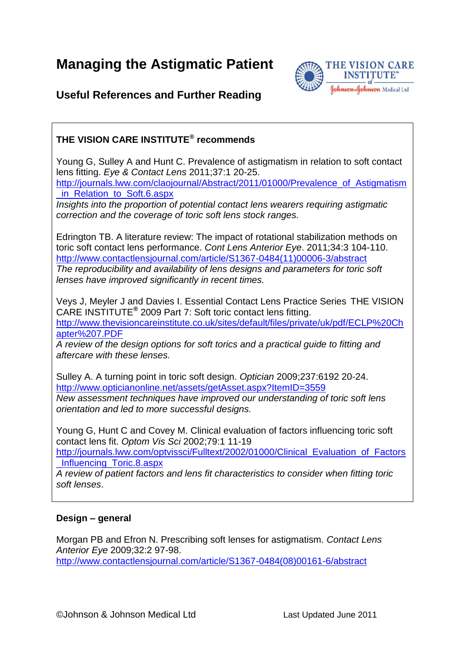**Managing the Astigmatic Patient**



## **Useful References and Further Reading**

## **THE VISION CARE INSTITUTE® recommends**

Young G, Sulley A and Hunt C. Prevalence of astigmatism in relation to soft contact lens fitting. *Eye & Contact Lens* 2011;37:1 20-25. [http://journals.lww.com/claojournal/Abstract/2011/01000/Prevalence\\_of\\_Astigmatism](http://journals.lww.com/claojournal/Abstract/2011/01000/Prevalence_of_Astigmatism_in_Relation_to_Soft.6.aspx) [\\_in\\_Relation\\_to\\_Soft.6.aspx](http://journals.lww.com/claojournal/Abstract/2011/01000/Prevalence_of_Astigmatism_in_Relation_to_Soft.6.aspx)

*Insights into the proportion of potential contact lens wearers requiring astigmatic correction and the coverage of toric soft lens stock ranges.*

Edrington TB. A literature review: The impact of rotational stabilization methods on toric soft contact lens performance. *Cont Lens Anterior Eye*. 2011;34:3 104-110. [http://www.contactlensjournal.com/article/S1367-0484\(11\)00006-3/abstract](http://www.contactlensjournal.com/article/S1367-0484(11)00006-3/abstract) *The reproducibility and availability of lens designs and parameters for toric soft lenses have improved significantly in recent times.* 

Veys J, Meyler J and Davies I. Essential Contact Lens Practice Series THE VISION CARE INSTITUTE**®** 2009 Part 7: Soft toric contact lens fitting. [http://www.thevisioncareinstitute.co.uk/sites/default/files/private/uk/pdf/ECLP%20Ch](http://www.thevisioncareinstitute.co.uk/sites/default/files/private/uk/pdf/ECLP%20Chapter%207.PDF) [apter%207.PDF](http://www.thevisioncareinstitute.co.uk/sites/default/files/private/uk/pdf/ECLP%20Chapter%207.PDF)

*A review of the design options for soft torics and a practical guide to fitting and aftercare with these lenses.* 

Sulley A. A turning point in toric soft design. *Optician* 2009;237:6192 20-24. <http://www.opticianonline.net/assets/getAsset.aspx?ItemID=3559> *New assessment techniques have improved our understanding of toric soft lens orientation and led to more successful designs.*

Young G, Hunt C and Covey M. Clinical evaluation of factors influencing toric soft contact lens fit. *Optom Vis Sci* 2002;79:1 11-19

[http://journals.lww.com/optvissci/Fulltext/2002/01000/Clinical\\_Evaluation\\_of\\_Factors](http://journals.lww.com/optvissci/Fulltext/2002/01000/Clinical_Evaluation_of_Factors_Influencing_Toric.8.aspx) [\\_Influencing\\_Toric.8.aspx](http://journals.lww.com/optvissci/Fulltext/2002/01000/Clinical_Evaluation_of_Factors_Influencing_Toric.8.aspx)

*A review of patient factors and lens fit characteristics to consider when fitting toric soft lenses*.

## **Design – general**

Morgan PB and Efron N. Prescribing soft lenses for astigmatism. *Contact Lens Anterior Eye* 2009;32:2 97-98.

[http://www.contactlensjournal.com/article/S1367-0484\(08\)00161-6/abstract](http://www.contactlensjournal.com/article/S1367-0484(08)00161-6/abstract)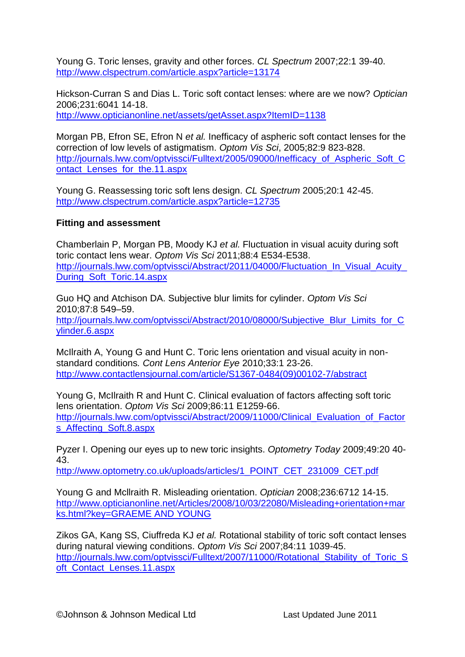Young G. Toric lenses, gravity and other forces. *CL Spectrum* 2007;22:1 39-40. <http://www.clspectrum.com/article.aspx?article=13174>

Hickson-Curran S and Dias L. Toric soft contact lenses: where are we now? *Optician*  2006;231:6041 14-18. <http://www.opticianonline.net/assets/getAsset.aspx?ItemID=1138>

Morgan PB, Efron SE, Efron N *et al.* Inefficacy of aspheric soft contact lenses for the correction of low levels of astigmatism. *Optom Vis Sci*, 2005;82:9 823-828. http://journals.lww.com/optyissci/Fulltext/2005/09000/Inefficacy\_of\_Aspheric\_Soft\_C [ontact\\_Lenses\\_for\\_the.11.aspx](http://journals.lww.com/optvissci/Fulltext/2005/09000/Inefficacy_of_Aspheric_Soft_Contact_Lenses_for_the.11.aspx)

Young G. Reassessing toric soft lens design. *CL Spectrum* 2005;20:1 42-45. <http://www.clspectrum.com/article.aspx?article=12735>

## **Fitting and assessment**

Chamberlain P, Morgan PB, Moody KJ *et al.* Fluctuation in visual acuity during soft toric contact lens wear. *Optom Vis Sci* 2011;88:4 E534-E538. http://journals.lww.com/optvissci/Abstract/2011/04000/Fluctuation\_In\_Visual\_Acuity [During\\_Soft\\_Toric.14.aspx](http://journals.lww.com/optvissci/Abstract/2011/04000/Fluctuation_In_Visual_Acuity_During_Soft_Toric.14.aspx)

Guo HQ and Atchison DA. Subjective blur limits for cylinder. *Optom Vis Sci* 2010;87:8 549–59. [http://journals.lww.com/optvissci/Abstract/2010/08000/Subjective\\_Blur\\_Limits\\_for\\_C](http://journals.lww.com/optvissci/Abstract/2010/08000/Subjective_Blur_Limits_for_Cylinder.6.aspx) [ylinder.6.aspx](http://journals.lww.com/optvissci/Abstract/2010/08000/Subjective_Blur_Limits_for_Cylinder.6.aspx)

McIlraith A, Young G and Hunt C. Toric lens orientation and visual acuity in nonstandard conditions*. [Cont Lens Anterior Eye](http://www.sciencedirect.com/science/journal/13670484)* 2010;33:1 23-26. [http://www.contactlensjournal.com/article/S1367-0484\(09\)00102-7/abstract](http://www.contactlensjournal.com/article/S1367-0484(09)00102-7/abstract)

Young G, McIlraith R and Hunt C. Clinical evaluation of factors affecting soft toric lens orientation. *Optom Vis Sci* 2009;86:11 E1259-66. [http://journals.lww.com/optvissci/Abstract/2009/11000/Clinical\\_Evaluation\\_of\\_Factor](http://journals.lww.com/optvissci/Abstract/2009/11000/Clinical_Evaluation_of_Factors_Affecting_Soft.8.aspx) [s\\_Affecting\\_Soft.8.aspx](http://journals.lww.com/optvissci/Abstract/2009/11000/Clinical_Evaluation_of_Factors_Affecting_Soft.8.aspx)

Pyzer I. Opening our eyes up to new toric insights. *Optometry Today* 2009;49:20 40- 43.

[http://www.optometry.co.uk/uploads/articles/1\\_POINT\\_CET\\_231009\\_CET.pdf](http://www.optometry.co.uk/uploads/articles/1_POINT_CET_231009_CET.pdf)

Young G and Mcllraith R. Misleading orientation. *Optician* 2008;236:6712 14-15. [http://www.opticianonline.net/Articles/2008/10/03/22080/Misleading+orientation+mar](http://www.opticianonline.net/Articles/2008/10/03/22080/Misleading+orientation+marks.html?key=GRAEME%20AND%20YOUNG) [ks.html?key=GRAEME AND YOUNG](http://www.opticianonline.net/Articles/2008/10/03/22080/Misleading+orientation+marks.html?key=GRAEME%20AND%20YOUNG)

Zikos GA, Kang SS, Ciuffreda KJ *et al.* Rotational stability of toric soft contact lenses during natural viewing conditions. *Optom Vis Sci* 2007;84:11 1039-45. [http://journals.lww.com/optvissci/Fulltext/2007/11000/Rotational\\_Stability\\_of\\_Toric\\_S](http://journals.lww.com/optvissci/Fulltext/2007/11000/Rotational_Stability_of_Toric_Soft_Contact_Lenses.11.aspx) oft Contact Lenses.11.aspx